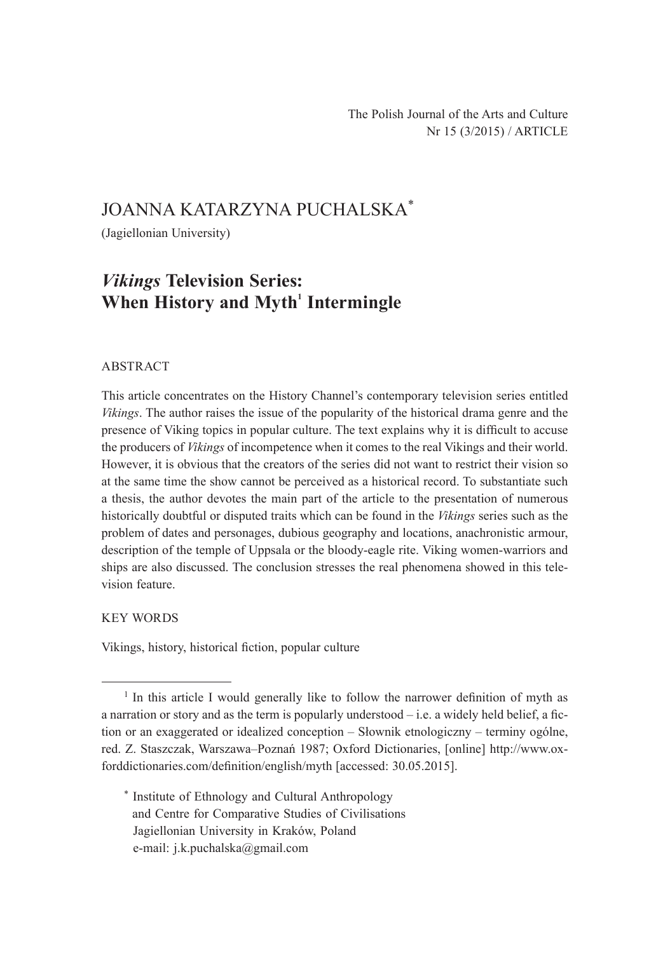# JOANNA KATARZYNA PUCHALSKA\*

(Jagiellonian University)

# *Vikings* **Television Series: When History and Myth<sup>1</sup> Intermingle**

### ABSTRACT

This article concentrates on the History Channel's contemporary television series entitled *Vikings*. The author raises the issue of the popularity of the historical drama genre and the presence of Viking topics in popular culture. The text explains why it is difficult to accuse the producers of *Vikings* of incompetence when it comes to the real Vikings and their world. However, it is obvious that the creators of the series did not want to restrict their vision so at the same time the show cannot be perceived as a historical record. To substantiate such a thesis, the author devotes the main part of the article to the presentation of numerous historically doubtful or disputed traits which can be found in the *Vikings* series such as the problem of dates and personages, dubious geography and locations, anachronistic armour, description of the temple of Uppsala or the bloody-eagle rite. Viking women-warriors and ships are also discussed. The conclusion stresses the real phenomena showed in this television feature.

## KEY WORDS

Vikings, history, historical fiction, popular culture

\* Institute of Ethnology and Cultural Anthropology and Centre for Comparative Studies of Civilisations Jagiellonian University in Kraków, Poland e-mail: j.k.puchalska@gmail.com

<sup>&</sup>lt;sup>1</sup> In this article I would generally like to follow the narrower definition of myth as a narration or story and as the term is popularly understood  $-$  i.e. a widely held belief, a fiction or an exaggerated or idealized conception – Słownik etnologiczny – terminy ogólne, red. Z. Staszczak, Warszawa–Poznań 1987; Oxford Dictionaries, [online] http://www.oxforddictionaries.com/definition/english/myth [accessed: 30.05.2015].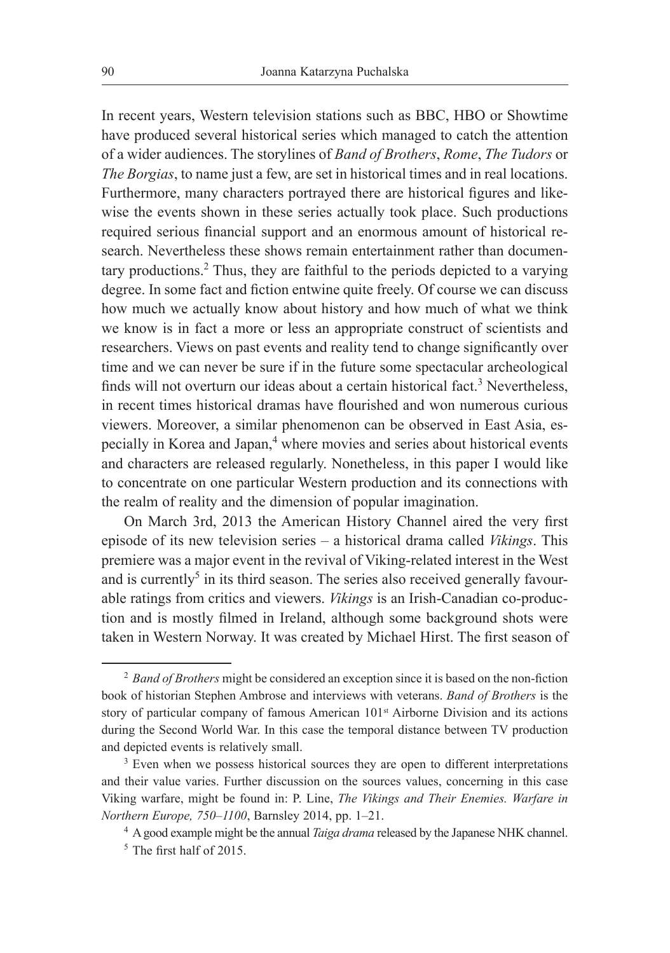In recent years, Western television stations such as BBC, HBO or Showtime have produced several historical series which managed to catch the attention of a wider audiences. The storylines of *Band of Brothers*, *Rome*, *The Tudors* or *The Borgias*, to name just a few, are set in historical times and in real locations. Furthermore, many characters portrayed there are historical figures and likewise the events shown in these series actually took place. Such productions required serious financial support and an enormous amount of historical research. Nevertheless these shows remain entertainment rather than documentary productions.<sup>2</sup> Thus, they are faithful to the periods depicted to a varying degree. In some fact and fiction entwine quite freely. Of course we can discuss how much we actually know about history and how much of what we think we know is in fact a more or less an appropriate construct of scientists and researchers. Views on past events and reality tend to change significantly over time and we can never be sure if in the future some spectacular archeological finds will not overturn our ideas about a certain historical fact.<sup>3</sup> Nevertheless, in recent times historical dramas have flourished and won numerous curious viewers. Moreover, a similar phenomenon can be observed in East Asia, especially in Korea and Japan,<sup>4</sup> where movies and series about historical events and characters are released regularly. Nonetheless, in this paper I would like to concentrate on one particular Western production and its connections with the realm of reality and the dimension of popular imagination.

On March 3rd, 2013 the American History Channel aired the very first episode of its new television series – a historical drama called *Vikings*. This premiere was a major event in the revival of Viking-related interest in the West and is currently<sup>5</sup> in its third season. The series also received generally favourable ratings from critics and viewers. *Vikings* is an Irish-Canadian co-production and is mostly filmed in Ireland, although some background shots were taken in Western Norway. It was created by Michael Hirst. The first season of

<sup>2</sup> *Band of Brothers* might be considered an exception since it is based on the non-fiction book of historian Stephen Ambrose and interviews with veterans. *Band of Brothers* is the story of particular company of famous American 101<sup>st</sup> Airborne Division and its actions during the Second World War. In this case the temporal distance between TV production and depicted events is relatively small.<br><sup>3</sup> Even when we possess historical sources they are open to different interpretations

and their value varies. Further discussion on the sources values, concerning in this case Viking warfare, might be found in: P. Line, *The Vikings and Their Enemies. Warfare in Northern Europe, 750–1100*, Barnsley 2014, pp. 1–21.

<sup>4</sup> A good example might be the annual *Taiga drama* released by the Japanese NHK channel. 5 The first half of 2015.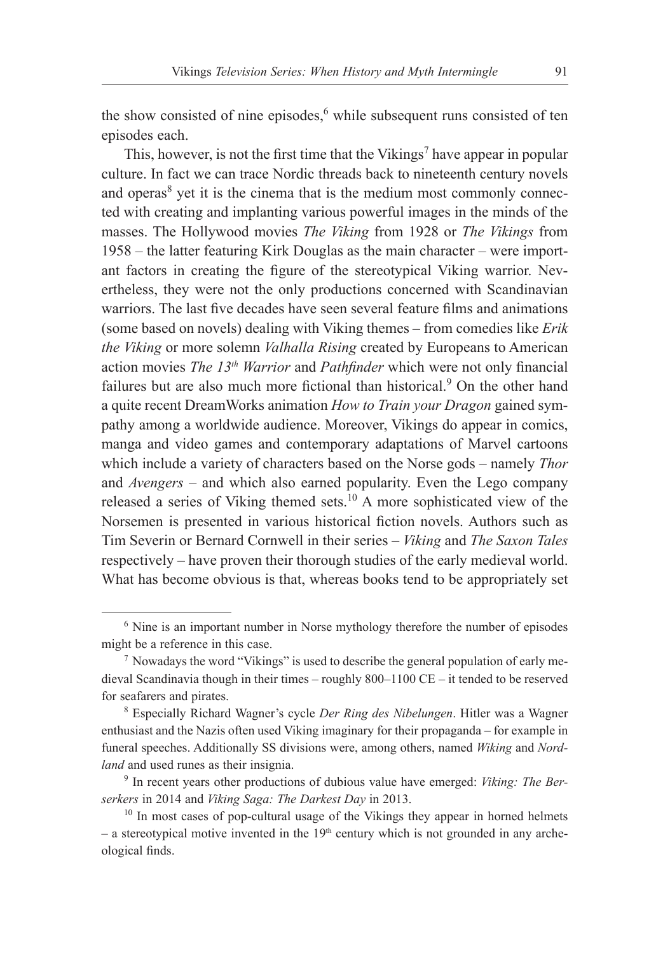the show consisted of nine episodes,<sup>6</sup> while subsequent runs consisted of ten episodes each.

This, however, is not the first time that the Vikings<sup>7</sup> have appear in popular culture. In fact we can trace Nordic threads back to nineteenth century novels and operas<sup>8</sup> yet it is the cinema that is the medium most commonly connected with creating and implanting various powerful images in the minds of the masses. The Hollywood movies *The Viking* from 1928 or *The Vikings* from 1958 – the latter featuring Kirk Douglas as the main character – were important factors in creating the figure of the stereotypical Viking warrior. Nevertheless, they were not the only productions concerned with Scandinavian warriors. The last five decades have seen several feature films and animations (some based on novels) dealing with Viking themes – from comedies like *Erik the Viking* or more solemn *Valhalla Rising* created by Europeans to American action movies *The 13th Warrior* and *Pathfinder* which were not only financial failures but are also much more fictional than historical.<sup>9</sup> On the other hand a quite recent DreamWorks animation *How to Train your Dragon* gained sympathy among a worldwide audience. Moreover, Vikings do appear in comics, manga and video games and contemporary adaptations of Marvel cartoons which include a variety of characters based on the Norse gods – namely *Thor*  and *Avengers* – and which also earned popularity. Even the Lego company released a series of Viking themed sets.10 A more sophisticated view of the Norsemen is presented in various historical fiction novels. Authors such as Tim Severin or Bernard Cornwell in their series – *Viking* and *The Saxon Tales*  respectively – have proven their thorough studies of the early medieval world. What has become obvious is that, whereas books tend to be appropriately set

<sup>&</sup>lt;sup>6</sup> Nine is an important number in Norse mythology therefore the number of episodes might be a reference in this case.

 $<sup>7</sup>$  Nowadays the word "Vikings" is used to describe the general population of early me-</sup> dieval Scandinavia though in their times – roughly 800–1100 CE – it tended to be reserved for seafarers and pirates.

<sup>8</sup> Especially Richard Wagner's cycle *Der Ring des Nibelungen*. Hitler was a Wagner enthusiast and the Nazis often used Viking imaginary for their propaganda – for example in funeral speeches. Additionally SS divisions were, among others, named *Wiking* and *Nordland* and used runes as their insignia.

<sup>9</sup> In recent years other productions of dubious value have emerged: *Viking: The Berserkers* in 2014 and *Viking Saga: The Darkest Day* in 2013.

 $10$  In most cases of pop-cultural usage of the Vikings they appear in horned helmets  $-$  a stereotypical motive invented in the 19<sup>th</sup> century which is not grounded in any archeological finds.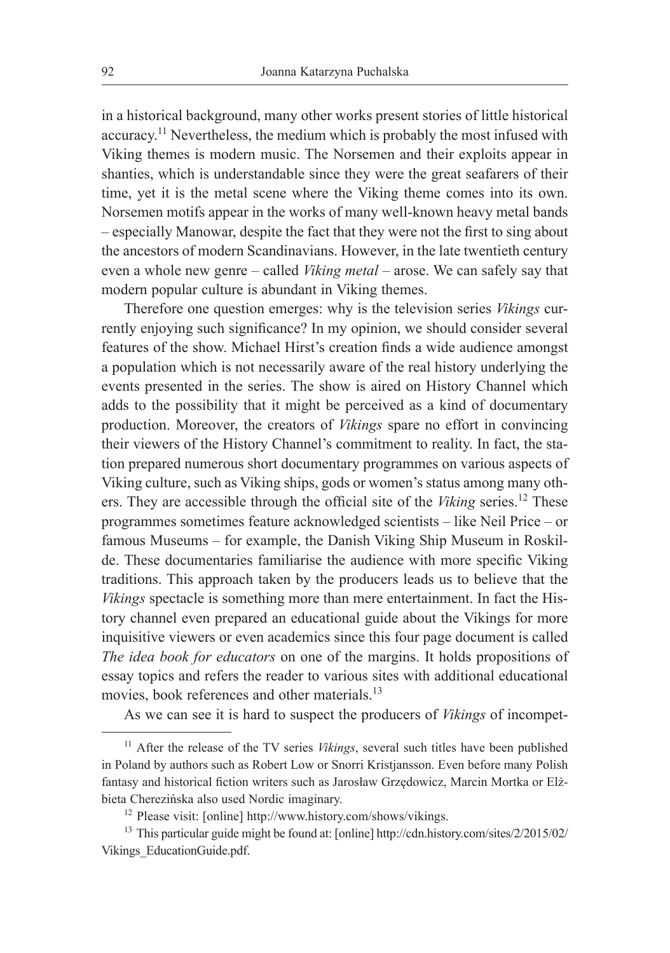in a historical background, many other works present stories of little historical accuracy.11 Nevertheless, the medium which is probably the most infused with Viking themes is modern music. The Norsemen and their exploits appear in shanties, which is understandable since they were the great seafarers of their time, yet it is the metal scene where the Viking theme comes into its own. Norsemen motifs appear in the works of many well-known heavy metal bands – especially Manowar, despite the fact that they were not the first to sing about the ancestors of modern Scandinavians. However, in the late twentieth century even a whole new genre – called *Viking metal* – arose. We can safely say that modern popular culture is abundant in Viking themes.

Therefore one question emerges: why is the television series *Vikings* currently enjoying such significance? In my opinion, we should consider several features of the show. Michael Hirst's creation finds a wide audience amongst a population which is not necessarily aware of the real history underlying the events presented in the series. The show is aired on History Channel which adds to the possibility that it might be perceived as a kind of documentary production. Moreover, the creators of *Vikings* spare no effort in convincing their viewers of the History Channel's commitment to reality. In fact, the station prepared numerous short documentary programmes on various aspects of Viking culture, such as Viking ships, gods or women's status among many others. They are accessible through the official site of the *Viking* series.12 These programmes sometimes feature acknowledged scientists – like Neil Price – or famous Museums – for example, the Danish Viking Ship Museum in Roskilde. These documentaries familiarise the audience with more specific Viking traditions. This approach taken by the producers leads us to believe that the *Vikings* spectacle is something more than mere entertainment. In fact the History channel even prepared an educational guide about the Vikings for more inquisitive viewers or even academics since this four page document is called *The idea book for educators* on one of the margins. It holds propositions of essay topics and refers the reader to various sites with additional educational movies, book references and other materials.<sup>13</sup>

As we can see it is hard to suspect the producers of *Vikings* of incompet-

<sup>&</sup>lt;sup>11</sup> After the release of the TV series *Vikings*, several such titles have been published in Poland by authors such as Robert Low or Snorri Kristjansson. Even before many Polish fantasy and historical fiction writers such as Jarosław Grzędowicz, Marcin Mortka or Elżbieta Cherezińska also used Nordic imaginary.

<sup>12</sup> Please visit: [online] http://www.history.com/shows/vikings.

<sup>13</sup> This particular guide might be found at: [online] http://cdn.history.com/sites/2/2015/02/ Vikings\_EducationGuide.pdf.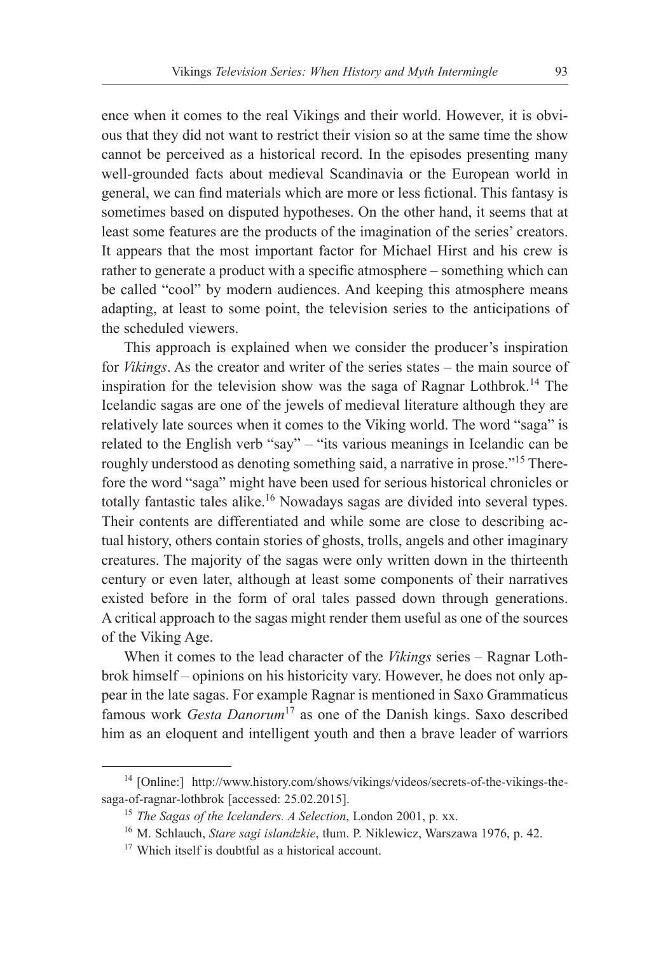ence when it comes to the real Vikings and their world. However, it is obvious that they did not want to restrict their vision so at the same time the show cannot be perceived as a historical record. In the episodes presenting many well-grounded facts about medieval Scandinavia or the European world in general, we can find materials which are more or less fictional. This fantasy is sometimes based on disputed hypotheses. On the other hand, it seems that at least some features are the products of the imagination of the series' creators. It appears that the most important factor for Michael Hirst and his crew is rather to generate a product with a specific atmosphere – something which can be called "cool" by modern audiences. And keeping this atmosphere means adapting, at least to some point, the television series to the anticipations of the scheduled viewers.

This approach is explained when we consider the producer's inspiration for *Vikings*. As the creator and writer of the series states – the main source of inspiration for the television show was the saga of Ragnar Lothbrok.14 The Icelandic sagas are one of the jewels of medieval literature although they are relatively late sources when it comes to the Viking world. The word "saga" is related to the English verb "say" – "its various meanings in Icelandic can be roughly understood as denoting something said, a narrative in prose."15 Therefore the word "saga" might have been used for serious historical chronicles or totally fantastic tales alike.<sup>16</sup> Nowadays sagas are divided into several types. Their contents are differentiated and while some are close to describing actual history, others contain stories of ghosts, trolls, angels and other imaginary creatures. The majority of the sagas were only written down in the thirteenth century or even later, although at least some components of their narratives existed before in the form of oral tales passed down through generations. A critical approach to the sagas might render them useful as one of the sources of the Viking Age.

When it comes to the lead character of the *Vikings* series – Ragnar Lothbrok himself – opinions on his historicity vary. However, he does not only appear in the late sagas. For example Ragnar is mentioned in Saxo Grammaticus famous work *Gesta Danorum*<sup>17</sup> as one of the Danish kings. Saxo described him as an eloquent and intelligent youth and then a brave leader of warriors

<sup>14</sup> [Online:] http://www.history.com/shows/vikings/videos/secrets-of-the-vikings-thesaga-of-ragnar-lothbrok [accessed: 25.02.2015].

<sup>15</sup> *The Sagas of the Icelanders. A Selection*, London 2001, p. xx.

<sup>16</sup> M. Schlauch, *Stare sagi islandzkie*, tłum. P. Niklewicz, Warszawa 1976, p. 42.

<sup>&</sup>lt;sup>17</sup> Which itself is doubtful as a historical account.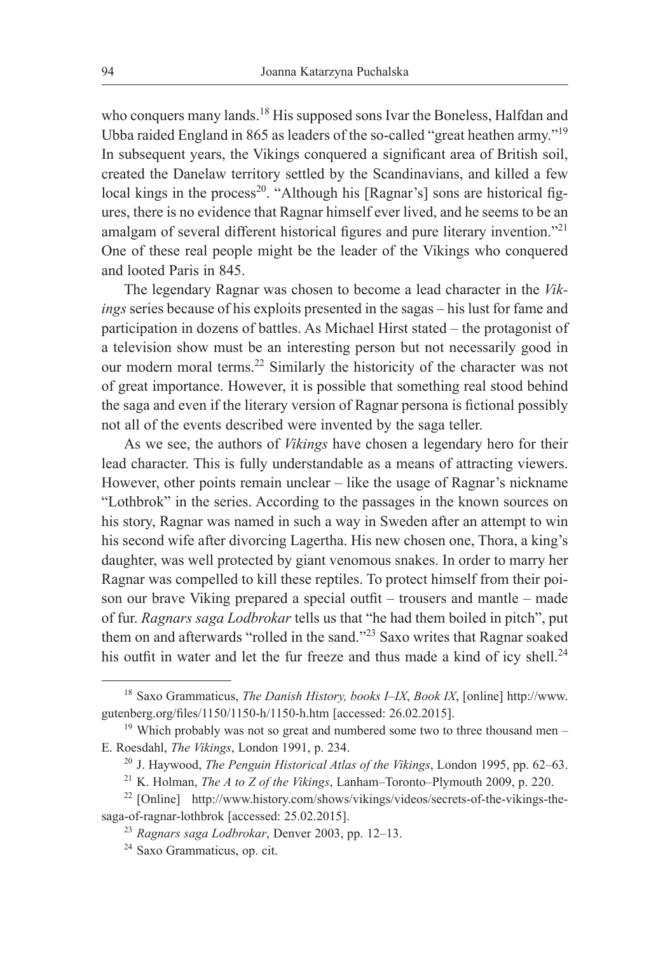who conquers many lands.<sup>18</sup> His supposed sons Ivar the Boneless, Halfdan and Ubba raided England in 865 as leaders of the so-called "great heathen army."19 In subsequent years, the Vikings conquered a significant area of British soil, created the Danelaw territory settled by the Scandinavians, and killed a few local kings in the process<sup>20</sup>. "Although his [Ragnar's] sons are historical figures, there is no evidence that Ragnar himself ever lived, and he seems to be an amalgam of several different historical figures and pure literary invention."<sup>21</sup> One of these real people might be the leader of the Vikings who conquered and looted Paris in 845.

The legendary Ragnar was chosen to become a lead character in the *Vikings* series because of his exploits presented in the sagas – his lust for fame and participation in dozens of battles. As Michael Hirst stated – the protagonist of a television show must be an interesting person but not necessarily good in our modern moral terms.22 Similarly the historicity of the character was not of great importance. However, it is possible that something real stood behind the saga and even if the literary version of Ragnar persona is fictional possibly not all of the events described were invented by the saga teller.

As we see, the authors of *Vikings* have chosen a legendary hero for their lead character. This is fully understandable as a means of attracting viewers. However, other points remain unclear – like the usage of Ragnar's nickname "Lothbrok" in the series. According to the passages in the known sources on his story, Ragnar was named in such a way in Sweden after an attempt to win his second wife after divorcing Lagertha. His new chosen one, Thora, a king's daughter, was well protected by giant venomous snakes. In order to marry her Ragnar was compelled to kill these reptiles. To protect himself from their poison our brave Viking prepared a special outfit – trousers and mantle – made of fur. *Ragnars saga Lodbrokar* tells us that "he had them boiled in pitch", put them on and afterwards "rolled in the sand."23 Saxo writes that Ragnar soaked his outfit in water and let the fur freeze and thus made a kind of icy shell.<sup>24</sup>

<sup>18</sup> Saxo Grammaticus, *The Danish History, books I–IX*, *Book IX*, [online] http://www. gutenberg.org/files/1150/1150-h/1150-h.htm [accessed: 26.02.2015].

 $19$  Which probably was not so great and numbered some two to three thousand men – E. Roesdahl, *The Vikings*, London 1991, p. 234.

<sup>20</sup> J. Haywood, *The Penguin Historical Atlas of the Vikings*, London 1995, pp. 62–63.

<sup>21</sup> K. Holman, *The A to Z of the Vikings*, Lanham–Toronto–Plymouth 2009, p. 220.

<sup>22</sup> [Online] http://www.history.com/shows/vikings/videos/secrets-of-the-vikings-thesaga-of-ragnar-lothbrok [accessed: 25.02.2015].

<sup>23</sup> *Ragnars saga Lodbrokar*, Denver 2003, pp. 12–13.

<sup>24</sup> Saxo Grammaticus, op. cit.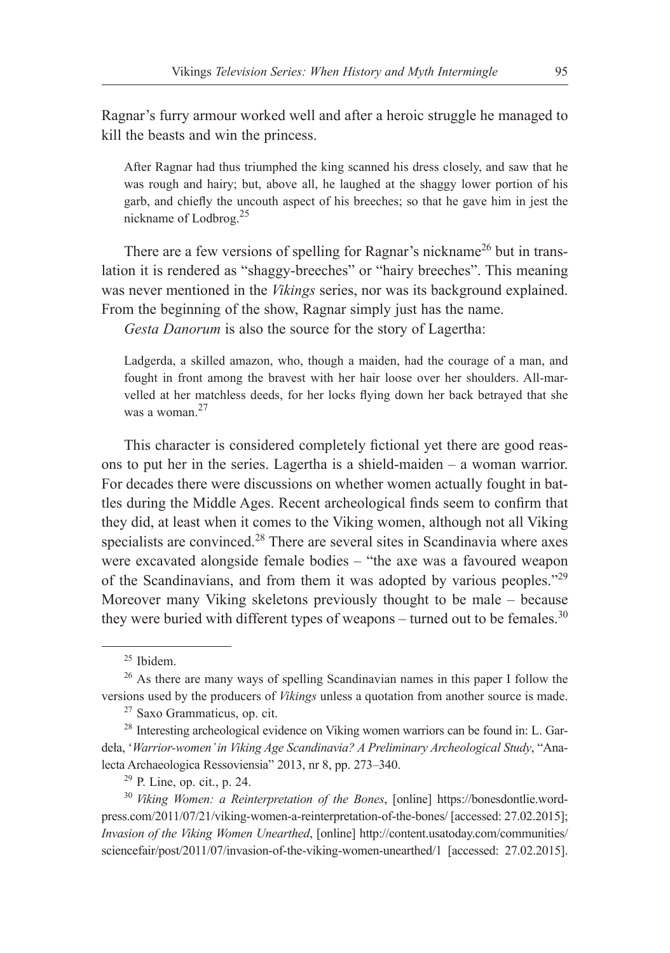Ragnar's furry armour worked well and after a heroic struggle he managed to kill the beasts and win the princess.

After Ragnar had thus triumphed the king scanned his dress closely, and saw that he was rough and hairy; but, above all, he laughed at the shaggy lower portion of his garb, and chiefly the uncouth aspect of his breeches; so that he gave him in jest the nickname of Lodbrog.25

There are a few versions of spelling for Ragnar's nickname<sup>26</sup> but in translation it is rendered as "shaggy-breeches" or "hairy breeches". This meaning was never mentioned in the *Vikings* series, nor was its background explained. From the beginning of the show, Ragnar simply just has the name.

*Gesta Danorum* is also the source for the story of Lagertha:

Ladgerda, a skilled amazon, who, though a maiden, had the courage of a man, and fought in front among the bravest with her hair loose over her shoulders. All-marvelled at her matchless deeds, for her locks flying down her back betrayed that she was a woman<sup>27</sup>

This character is considered completely fictional yet there are good reasons to put her in the series. Lagertha is a shield-maiden – a woman warrior. For decades there were discussions on whether women actually fought in battles during the Middle Ages. Recent archeological finds seem to confirm that they did, at least when it comes to the Viking women, although not all Viking specialists are convinced.<sup>28</sup> There are several sites in Scandinavia where axes were excavated alongside female bodies – "the axe was a favoured weapon of the Scandinavians, and from them it was adopted by various peoples."<sup>29</sup> Moreover many Viking skeletons previously thought to be male – because they were buried with different types of weapons – turned out to be females.<sup>30</sup>

<sup>25</sup> Ibidem.

<sup>&</sup>lt;sup>26</sup> As there are many ways of spelling Scandinavian names in this paper I follow the versions used by the producers of *Vikings* unless a quotation from another source is made.

<sup>27</sup> Saxo Grammaticus, op. cit.

<sup>&</sup>lt;sup>28</sup> Interesting archeological evidence on Viking women warriors can be found in: L. Gardeła, '*Warrior-women' in Viking Age Scandinavia? A Preliminary Archeological Study*, "Analecta Archaeologica Ressoviensia" 2013, nr 8, pp. 273–340.

 $29$  P. Line, op. cit., p. 24.

<sup>30</sup> *Viking Women: a Reinterpretation of the Bones*, [online] https://bonesdontlie.wordpress.com/2011/07/21/viking-women-a-reinterpretation-of-the-bones/ [accessed: 27.02.2015]; *Invasion of the Viking Women Unearthed*, [online] http://content.usatoday.com/communities/ sciencefair/post/2011/07/invasion-of-the-viking-women-unearthed/1 [accessed: 27.02.2015].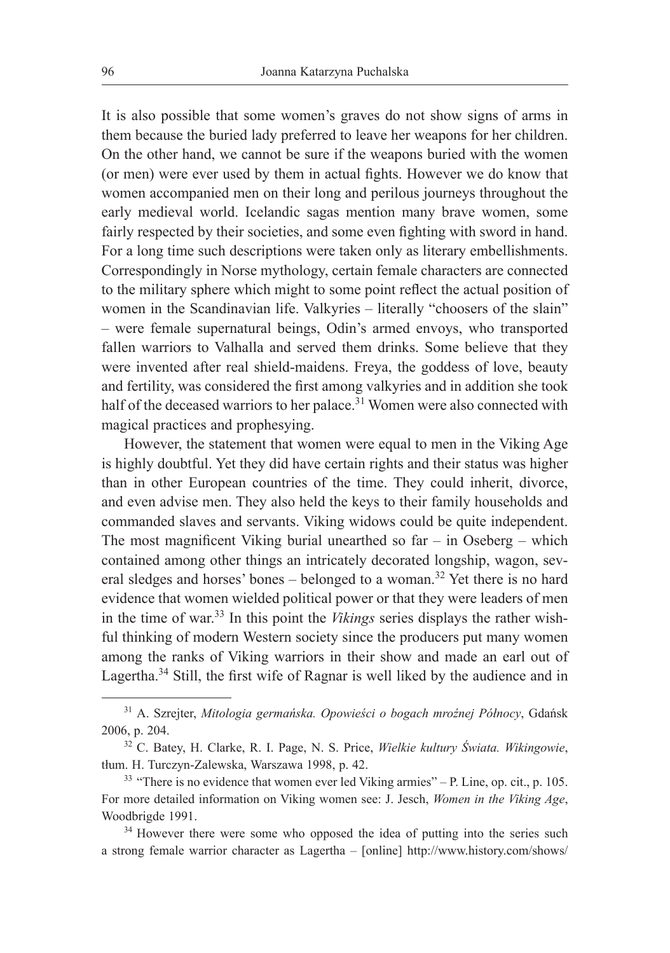It is also possible that some women's graves do not show signs of arms in them because the buried lady preferred to leave her weapons for her children. On the other hand, we cannot be sure if the weapons buried with the women (or men) were ever used by them in actual fights. However we do know that women accompanied men on their long and perilous journeys throughout the early medieval world. Icelandic sagas mention many brave women, some fairly respected by their societies, and some even fighting with sword in hand. For a long time such descriptions were taken only as literary embellishments. Correspondingly in Norse mythology, certain female characters are connected to the military sphere which might to some point reflect the actual position of women in the Scandinavian life. Valkyries – literally "choosers of the slain" – were female supernatural beings, Odin's armed envoys, who transported fallen warriors to Valhalla and served them drinks. Some believe that they were invented after real shield-maidens. Freya, the goddess of love, beauty and fertility, was considered the first among valkyries and in addition she took half of the deceased warriors to her palace.<sup>31</sup> Women were also connected with magical practices and prophesying.

However, the statement that women were equal to men in the Viking Age is highly doubtful. Yet they did have certain rights and their status was higher than in other European countries of the time. They could inherit, divorce, and even advise men. They also held the keys to their family households and commanded slaves and servants. Viking widows could be quite independent. The most magnificent Viking burial unearthed so  $far - in Oseberg - which$ contained among other things an intricately decorated longship, wagon, several sledges and horses' bones – belonged to a woman.<sup>32</sup> Yet there is no hard evidence that women wielded political power or that they were leaders of men in the time of war.33 In this point the *Vikings* series displays the rather wishful thinking of modern Western society since the producers put many women among the ranks of Viking warriors in their show and made an earl out of Lagertha.<sup>34</sup> Still, the first wife of Ragnar is well liked by the audience and in

<sup>31</sup> A. Szrejter, *Mitologia germańska. Opowieści o bogach mroźnej Północy*, Gdańsk 2006, p. 204.

<sup>32</sup> C. Batey, H. Clarke, R. I. Page, N. S. Price, *Wielkie kultury Świata. Wikingowie*, tłum. H. Turczyn-Zalewska, Warszawa 1998, p. 42.

<sup>33</sup> "There is no evidence that women ever led Viking armies" – P. Line, op. cit., p. 105. For more detailed information on Viking women see: J. Jesch, *Women in the Viking Age*, Woodbrigde 1991.

<sup>&</sup>lt;sup>34</sup> However there were some who opposed the idea of putting into the series such a strong female warrior character as Lagertha – [online] http://www.history.com/shows/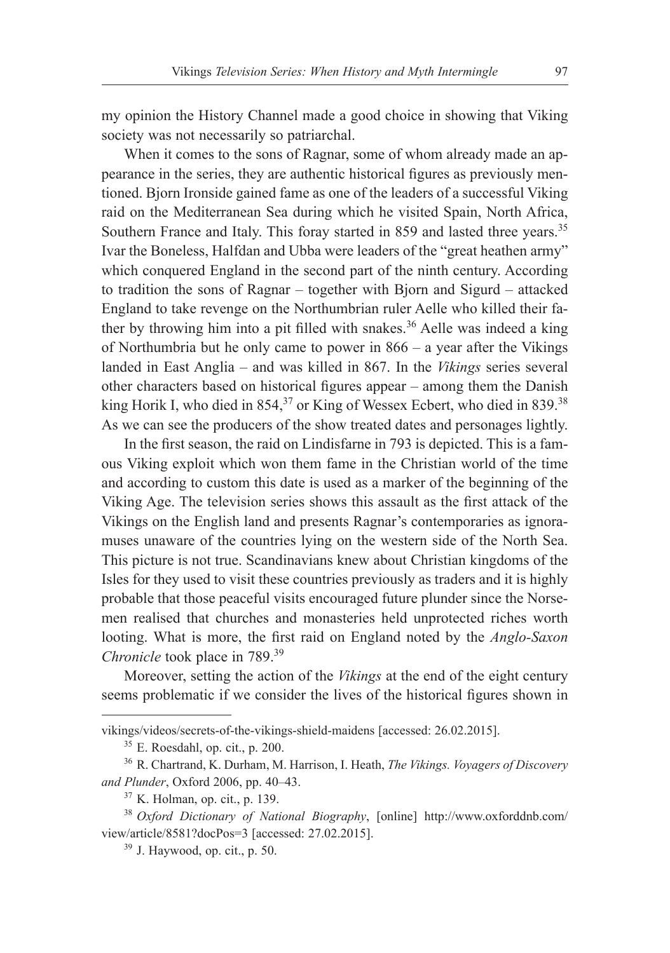my opinion the History Channel made a good choice in showing that Viking society was not necessarily so patriarchal.

When it comes to the sons of Ragnar, some of whom already made an appearance in the series, they are authentic historical figures as previously mentioned. Bjorn Ironside gained fame as one of the leaders of a successful Viking raid on the Mediterranean Sea during which he visited Spain, North Africa, Southern France and Italy. This foray started in 859 and lasted three years.<sup>35</sup> Ivar the Boneless, Halfdan and Ubba were leaders of the "great heathen army" which conquered England in the second part of the ninth century. According to tradition the sons of Ragnar – together with Bjorn and Sigurd – attacked England to take revenge on the Northumbrian ruler Aelle who killed their father by throwing him into a pit filled with snakes.<sup>36</sup> Aelle was indeed a king of Northumbria but he only came to power in 866 – a year after the Vikings landed in East Anglia – and was killed in 867. In the *Vikings* series several other characters based on historical figures appear – among them the Danish king Horik I, who died in 854,<sup>37</sup> or King of Wessex Ecbert, who died in 839.<sup>38</sup> As we can see the producers of the show treated dates and personages lightly.

In the first season, the raid on Lindisfarne in 793 is depicted. This is a famous Viking exploit which won them fame in the Christian world of the time and according to custom this date is used as a marker of the beginning of the Viking Age. The television series shows this assault as the first attack of the Vikings on the English land and presents Ragnar's contemporaries as ignoramuses unaware of the countries lying on the western side of the North Sea. This picture is not true. Scandinavians knew about Christian kingdoms of the Isles for they used to visit these countries previously as traders and it is highly probable that those peaceful visits encouraged future plunder since the Norsemen realised that churches and monasteries held unprotected riches worth looting. What is more, the first raid on England noted by the *Anglo-Saxon Chronicle* took place in 789.<sup>39</sup>

Moreover, setting the action of the *Vikings* at the end of the eight century seems problematic if we consider the lives of the historical figures shown in

vikings/videos/secrets-of-the-vikings-shield-maidens [accessed: 26.02.2015].

<sup>35</sup> E. Roesdahl, op. cit., p. 200.

<sup>36</sup> R. Chartrand, K. Durham, M. Harrison, I. Heath, *The Vikings. Voyagers of Discovery and Plunder*, Oxford 2006, pp. 40–43.

<sup>37</sup> K. Holman, op. cit., p. 139.

<sup>38</sup> *Oxford Dictionary of National Biography*, [online] http://www.oxforddnb.com/ view/article/8581?docPos=3 [accessed: 27.02.2015].

 $39$  J. Haywood, op. cit., p. 50.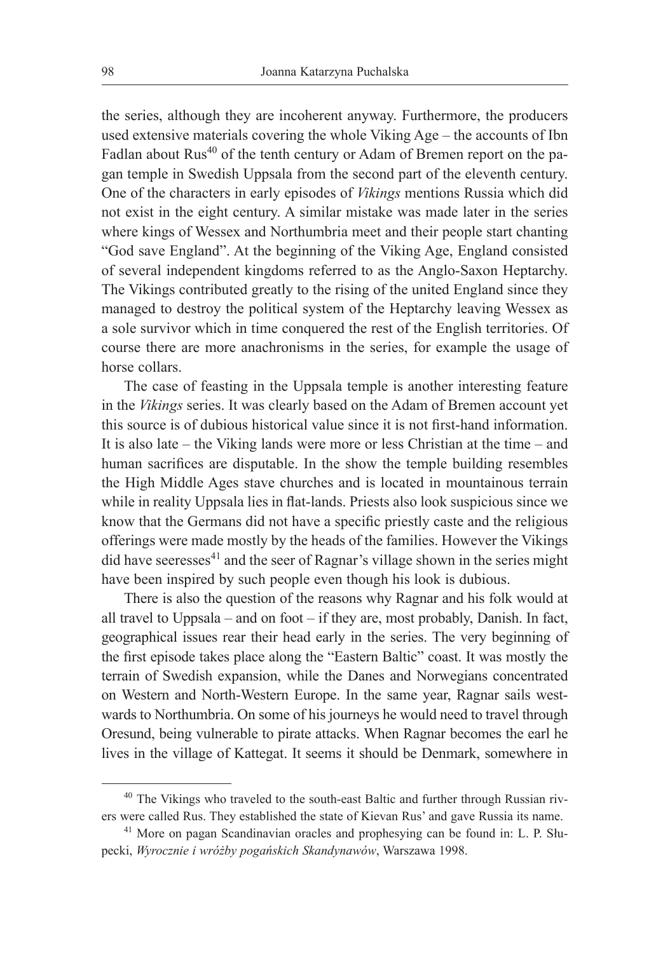the series, although they are incoherent anyway. Furthermore, the producers used extensive materials covering the whole Viking Age – the accounts of Ibn Fadlan about Rus<sup>40</sup> of the tenth century or Adam of Bremen report on the pagan temple in Swedish Uppsala from the second part of the eleventh century. One of the characters in early episodes of *Vikings* mentions Russia which did not exist in the eight century. A similar mistake was made later in the series where kings of Wessex and Northumbria meet and their people start chanting "God save England". At the beginning of the Viking Age, England consisted of several independent kingdoms referred to as the Anglo-Saxon Heptarchy. The Vikings contributed greatly to the rising of the united England since they managed to destroy the political system of the Heptarchy leaving Wessex as a sole survivor which in time conquered the rest of the English territories. Of course there are more anachronisms in the series, for example the usage of horse collars.

The case of feasting in the Uppsala temple is another interesting feature in the *Vikings* series. It was clearly based on the Adam of Bremen account yet this source is of dubious historical value since it is not first-hand information. It is also late – the Viking lands were more or less Christian at the time – and human sacrifices are disputable. In the show the temple building resembles the High Middle Ages stave churches and is located in mountainous terrain while in reality Uppsala lies in flat-lands. Priests also look suspicious since we know that the Germans did not have a specific priestly caste and the religious offerings were made mostly by the heads of the families. However the Vikings did have seeresses $41$  and the seer of Ragnar's village shown in the series might have been inspired by such people even though his look is dubious.

There is also the question of the reasons why Ragnar and his folk would at all travel to Uppsala – and on foot – if they are, most probably, Danish. In fact, geographical issues rear their head early in the series. The very beginning of the first episode takes place along the "Eastern Baltic" coast. It was mostly the terrain of Swedish expansion, while the Danes and Norwegians concentrated on Western and North-Western Europe. In the same year, Ragnar sails westwards to Northumbria. On some of his journeys he would need to travel through Oresund, being vulnerable to pirate attacks. When Ragnar becomes the earl he lives in the village of Kattegat. It seems it should be Denmark, somewhere in

<sup>&</sup>lt;sup>40</sup> The Vikings who traveled to the south-east Baltic and further through Russian rivers were called Rus. They established the state of Kievan Rus' and gave Russia its name.

<sup>41</sup> More on pagan Scandinavian oracles and prophesying can be found in: L. P. Słupecki, *Wyrocznie i wróżby pogańskich Skandynawów*, Warszawa 1998.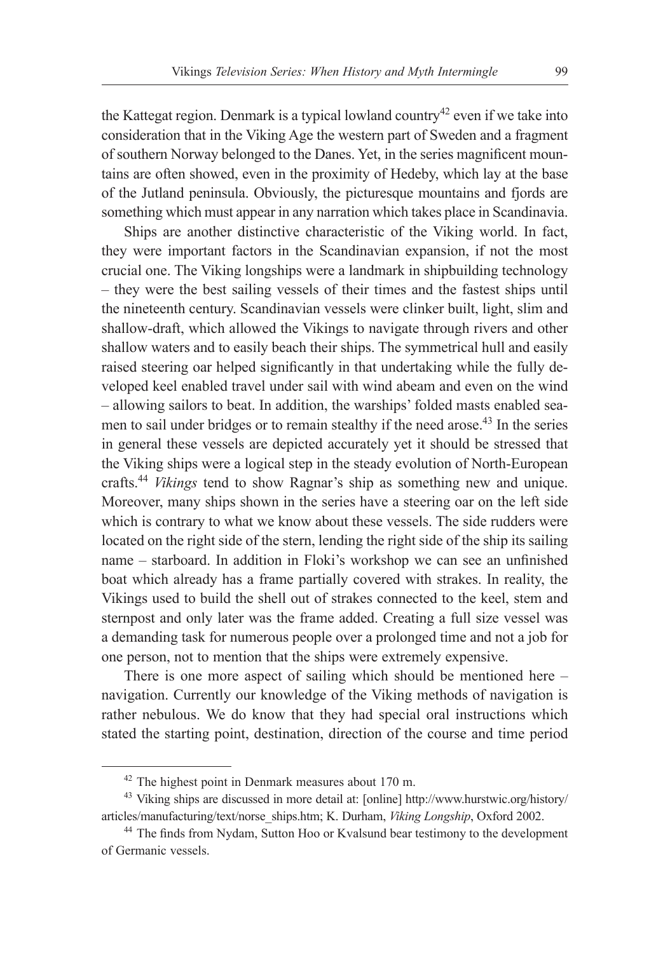the Kattegat region. Denmark is a typical lowland country<sup>42</sup> even if we take into consideration that in the Viking Age the western part of Sweden and a fragment of southern Norway belonged to the Danes. Yet, in the series magnificent mountains are often showed, even in the proximity of Hedeby, which lay at the base of the Jutland peninsula. Obviously, the picturesque mountains and fjords are something which must appear in any narration which takes place in Scandinavia.

Ships are another distinctive characteristic of the Viking world. In fact, they were important factors in the Scandinavian expansion, if not the most crucial one. The Viking longships were a landmark in shipbuilding technology – they were the best sailing vessels of their times and the fastest ships until the nineteenth century. Scandinavian vessels were clinker built, light, slim and shallow-draft, which allowed the Vikings to navigate through rivers and other shallow waters and to easily beach their ships. The symmetrical hull and easily raised steering oar helped significantly in that undertaking while the fully developed keel enabled travel under sail with wind abeam and even on the wind – allowing sailors to beat. In addition, the warships' folded masts enabled seamen to sail under bridges or to remain stealthy if the need arose.<sup>43</sup> In the series in general these vessels are depicted accurately yet it should be stressed that the Viking ships were a logical step in the steady evolution of North-European crafts.44 *Vikings* tend to show Ragnar's ship as something new and unique. Moreover, many ships shown in the series have a steering oar on the left side which is contrary to what we know about these vessels. The side rudders were located on the right side of the stern, lending the right side of the ship its sailing name – starboard. In addition in Floki's workshop we can see an unfinished boat which already has a frame partially covered with strakes. In reality, the Vikings used to build the shell out of strakes connected to the keel, stem and sternpost and only later was the frame added. Creating a full size vessel was a demanding task for numerous people over a prolonged time and not a job for one person, not to mention that the ships were extremely expensive.

There is one more aspect of sailing which should be mentioned here – navigation. Currently our knowledge of the Viking methods of navigation is rather nebulous. We do know that they had special oral instructions which stated the starting point, destination, direction of the course and time period

<sup>42</sup> The highest point in Denmark measures about 170 m.

<sup>43</sup> Viking ships are discussed in more detail at: [online] http://www.hurstwic.org/history/ articles/manufacturing/text/norse\_ships.htm; K. Durham, *Viking Longship*, Oxford 2002.

<sup>&</sup>lt;sup>44</sup> The finds from Nydam, Sutton Hoo or Kvalsund bear testimony to the development of Germanic vessels.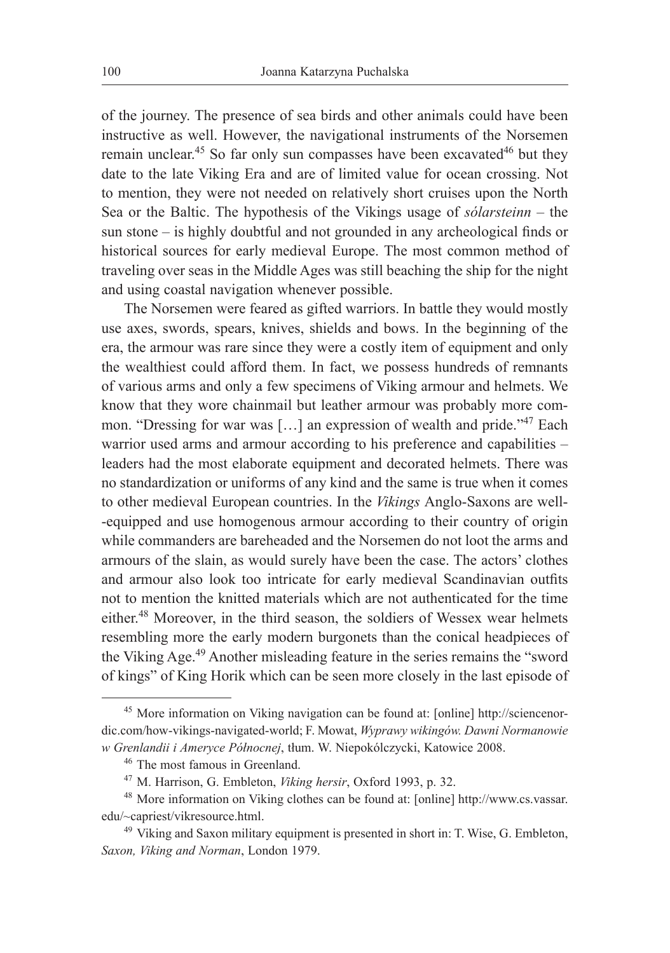of the journey. The presence of sea birds and other animals could have been instructive as well. However, the navigational instruments of the Norsemen remain unclear.<sup>45</sup> So far only sun compasses have been excavated<sup>46</sup> but they date to the late Viking Era and are of limited value for ocean crossing. Not to mention, they were not needed on relatively short cruises upon the North Sea or the Baltic. The hypothesis of the Vikings usage of *sólarsteinn* – the sun stone – is highly doubtful and not grounded in any archeological finds or historical sources for early medieval Europe. The most common method of traveling over seas in the Middle Ages was still beaching the ship for the night and using coastal navigation whenever possible.

The Norsemen were feared as gifted warriors. In battle they would mostly use axes, swords, spears, knives, shields and bows. In the beginning of the era, the armour was rare since they were a costly item of equipment and only the wealthiest could afford them. In fact, we possess hundreds of remnants of various arms and only a few specimens of Viking armour and helmets. We know that they wore chainmail but leather armour was probably more common. "Dressing for war was [...] an expression of wealth and pride."<sup>47</sup> Each warrior used arms and armour according to his preference and capabilities – leaders had the most elaborate equipment and decorated helmets. There was no standardization or uniforms of any kind and the same is true when it comes to other medieval European countries. In the *Vikings* Anglo-Saxons are well- -equipped and use homogenous armour according to their country of origin while commanders are bareheaded and the Norsemen do not loot the arms and armours of the slain, as would surely have been the case. The actors' clothes and armour also look too intricate for early medieval Scandinavian outfits not to mention the knitted materials which are not authenticated for the time either.<sup>48</sup> Moreover, in the third season, the soldiers of Wessex wear helmets resembling more the early modern burgonets than the conical headpieces of the Viking Age.<sup>49</sup> Another misleading feature in the series remains the "sword of kings" of King Horik which can be seen more closely in the last episode of

<sup>45</sup> More information on Viking navigation can be found at: [online] http://sciencenordic.com/how-vikings-navigated-world; F. Mowat, *Wyprawy wikingów. Dawni Normanowie w Grenlandii i Ameryce Północnej*, tłum. W. Niepokólczycki, Katowice 2008.

<sup>46</sup> The most famous in Greenland.

<sup>47</sup> M. Harrison, G. Embleton, *Viking hersir*, Oxford 1993, p. 32.

<sup>48</sup> More information on Viking clothes can be found at: [online] http://www.cs.vassar. edu/~capriest/vikresource.html.

<sup>49</sup> Viking and Saxon military equipment is presented in short in: T. Wise, G. Embleton, *Saxon, Viking and Norman*, London 1979.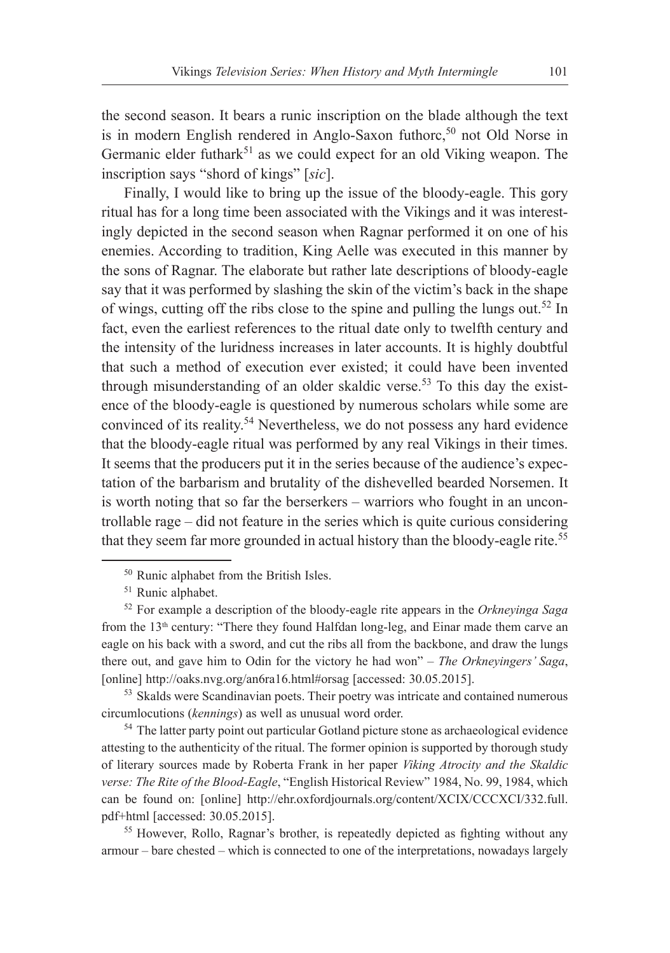the second season. It bears a runic inscription on the blade although the text is in modern English rendered in Anglo-Saxon futhore,<sup>50</sup> not Old Norse in Germanic elder futhark<sup>51</sup> as we could expect for an old Viking weapon. The inscription says "shord of kings" [*sic*].

Finally, I would like to bring up the issue of the bloody-eagle. This gory ritual has for a long time been associated with the Vikings and it was interestingly depicted in the second season when Ragnar performed it on one of his enemies. According to tradition, King Aelle was executed in this manner by the sons of Ragnar. The elaborate but rather late descriptions of bloody-eagle say that it was performed by slashing the skin of the victim's back in the shape of wings, cutting off the ribs close to the spine and pulling the lungs out.<sup>52</sup> In fact, even the earliest references to the ritual date only to twelfth century and the intensity of the luridness increases in later accounts. It is highly doubtful that such a method of execution ever existed; it could have been invented through misunderstanding of an older skaldic verse.<sup>53</sup> To this day the existence of the bloody-eagle is questioned by numerous scholars while some are convinced of its reality.54 Nevertheless, we do not possess any hard evidence that the bloody-eagle ritual was performed by any real Vikings in their times. It seems that the producers put it in the series because of the audience's expectation of the barbarism and brutality of the dishevelled bearded Norsemen. It is worth noting that so far the berserkers – warriors who fought in an uncontrollable rage – did not feature in the series which is quite curious considering that they seem far more grounded in actual history than the bloody-eagle rite.<sup>55</sup>

<sup>53</sup> Skalds were Scandinavian poets. Their poetry was intricate and contained numerous circumlocutions (*kennings*) as well as unusual word order. 54 The latter party point out particular Gotland picture stone as archaeological evidence

attesting to the authenticity of the ritual. The former opinion is supported by thorough study of literary sources made by Roberta Frank in her paper *Viking Atrocity and the Skaldic verse: The Rite of the Blood-Eagle*, "English Historical Review" 1984, No. 99, 1984, which can be found on: [online] http://ehr.oxfordjournals.org/content/XCIX/CCCXCI/332.full. pdf+html [accessed: 30.05.2015].

<sup>55</sup> However, Rollo, Ragnar's brother, is repeatedly depicted as fighting without any armour – bare chested – which is connected to one of the interpretations, nowadays largely

<sup>50</sup> Runic alphabet from the British Isles.

<sup>51</sup> Runic alphabet.

<sup>52</sup> For example a description of the bloody-eagle rite appears in the *Orkneyinga Saga* from the 13<sup>th</sup> century: "There they found Halfdan long-leg, and Einar made them carve an eagle on his back with a sword, and cut the ribs all from the backbone, and draw the lungs there out, and gave him to Odin for the victory he had won" – *The Orkneyingers' Saga*, [online] http://oaks.nvg.org/an6ra16.html#orsag [accessed: 30.05.2015].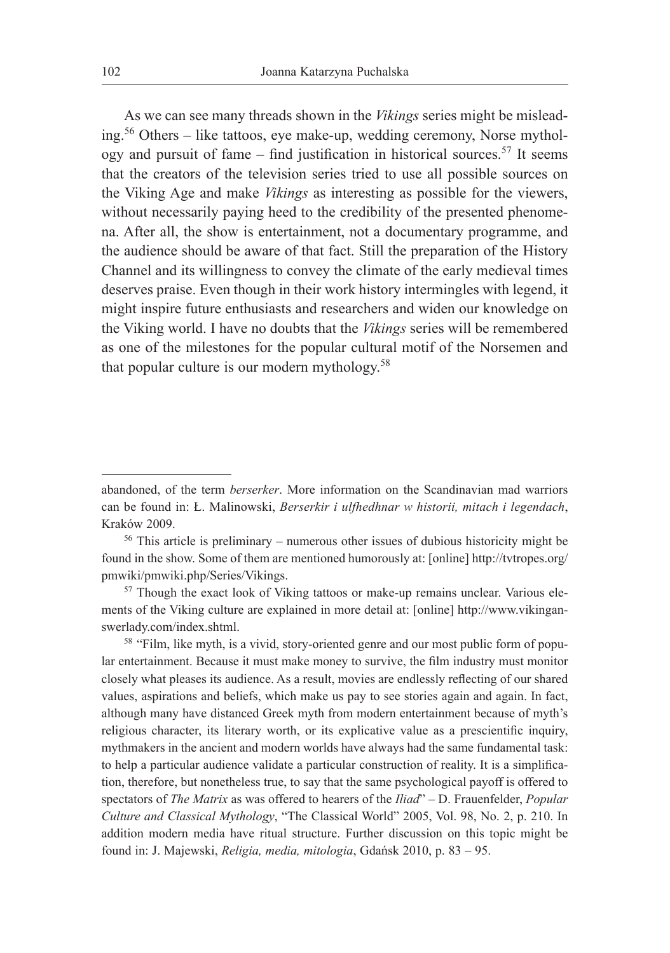As we can see many threads shown in the *Vikings* series might be misleading.56 Others – like tattoos, eye make-up, wedding ceremony, Norse mythology and pursuit of fame – find justification in historical sources.<sup>57</sup> It seems that the creators of the television series tried to use all possible sources on the Viking Age and make *Vikings* as interesting as possible for the viewers, without necessarily paying heed to the credibility of the presented phenomena. After all, the show is entertainment, not a documentary programme, and the audience should be aware of that fact. Still the preparation of the History Channel and its willingness to convey the climate of the early medieval times deserves praise. Even though in their work history intermingles with legend, it might inspire future enthusiasts and researchers and widen our knowledge on the Viking world. I have no doubts that the *Vikings* series will be remembered as one of the milestones for the popular cultural motif of the Norsemen and that popular culture is our modern mythology.<sup>58</sup>

abandoned, of the term *berserker*. More information on the Scandinavian mad warriors can be found in: Ł. Malinowski, *Berserkir i ulfhedhnar w historii, mitach i legendach*, Kraków 2009.

<sup>56</sup> This article is preliminary – numerous other issues of dubious historicity might be found in the show. Some of them are mentioned humorously at: [online] http://tvtropes.org/ pmwiki/pmwiki.php/Series/Vikings.

<sup>&</sup>lt;sup>57</sup> Though the exact look of Viking tattoos or make-up remains unclear. Various elements of the Viking culture are explained in more detail at: [online] http://www.vikinganswerlady.com/index.shtml.

<sup>&</sup>lt;sup>58</sup> "Film, like myth, is a vivid, story-oriented genre and our most public form of popular entertainment. Because it must make money to survive, the film industry must monitor closely what pleases its audience. As a result, movies are endlessly reflecting of our shared values, aspirations and beliefs, which make us pay to see stories again and again. In fact, although many have distanced Greek myth from modern entertainment because of myth's religious character, its literary worth, or its explicative value as a prescientific inquiry, mythmakers in the ancient and modern worlds have always had the same fundamental task: to help a particular audience validate a particular construction of reality. It is a simplification, therefore, but nonetheless true, to say that the same psychological payoff is offered to spectators of *The Matrix* as was offered to hearers of the *Iliad*" – D. Frauenfelder, *Popular Culture and Classical Mythology*, "The Classical World" 2005, Vol. 98, No. 2, p. 210. In addition modern media have ritual structure. Further discussion on this topic might be found in: J. Majewski, *Religia, media, mitologia*, Gdańsk 2010, p. 83 – 95.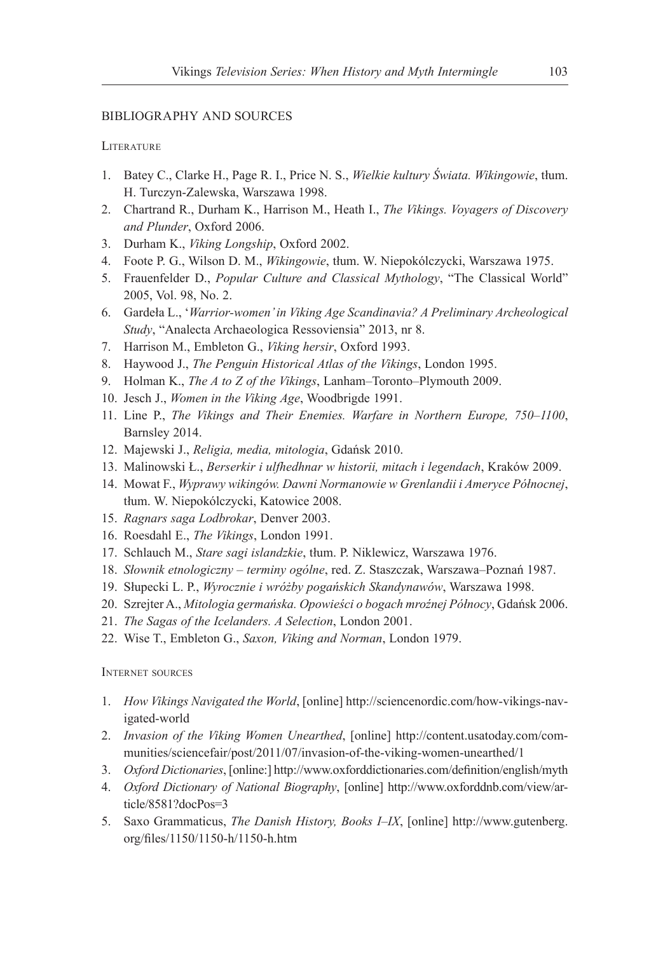### BIBLIOGRAPHY AND SOURCES

#### **LITERATURE**

- 1. Batey C., Clarke H., Page R. I., Price N. S., *Wielkie kultury Świata. Wikingowie*, tłum. H. Turczyn-Zalewska, Warszawa 1998.
- 2. Chartrand R., Durham K., Harrison M., Heath I., *The Vikings. Voyagers of Discovery and Plunder*, Oxford 2006.
- 3. Durham K., *Viking Longship*, Oxford 2002.
- 4. Foote P. G., Wilson D. M., *Wikingowie*, tłum. W. Niepokólczycki, Warszawa 1975.
- 5. Frauenfelder D., *Popular Culture and Classical Mythology*, "The Classical World" 2005, Vol. 98, No. 2.
- 6. Gardeła L., '*Warrior-women' in Viking Age Scandinavia? A Preliminary Archeological Study*, "Analecta Archaeologica Ressoviensia" 2013, nr 8.
- 7. Harrison M., Embleton G., *Viking hersir*, Oxford 1993.
- 8. Haywood J., *The Penguin Historical Atlas of the Vikings*, London 1995.
- 9. Holman K., *The A to Z of the Vikings*, Lanham–Toronto–Plymouth 2009.
- 10. Jesch J., *Women in the Viking Age*, Woodbrigde 1991.
- 11. Line P., *The Vikings and Their Enemies. Warfare in Northern Europe, 750–1100*, Barnsley 2014.
- 12. Majewski J., *Religia, media, mitologia*, Gdańsk 2010.
- 13. Malinowski Ł., *Berserkir i ulfhedhnar w historii, mitach i legendach*, Kraków 2009.
- 14. Mowat F., *Wyprawy wikingów. Dawni Normanowie w Grenlandii i Ameryce Północnej*, tłum. W. Niepokólczycki, Katowice 2008.
- 15. *Ragnars saga Lodbrokar*, Denver 2003.
- 16. Roesdahl E., *The Vikings*, London 1991.
- 17. Schlauch M., *Stare sagi islandzkie*, tłum. P. Niklewicz, Warszawa 1976.
- 18. *Słownik etnologiczny terminy ogólne*, red. Z. Staszczak, Warszawa–Poznań 1987.
- 19. Słupecki L. P., *Wyrocznie i wróżby pogańskich Skandynawów*, Warszawa 1998.
- 20. Szrejter A., *Mitologia germańska. Opowieści o bogach mroźnej Północy*, Gdańsk 2006.
- 21. *The Sagas of the Icelanders. A Selection*, London 2001.
- 22. Wise T., Embleton G., *Saxon, Viking and Norman*, London 1979.

#### Internet sources

- 1. *How Vikings Navigated the World*, [online] http://sciencenordic.com/how-vikings-navigated-world
- 2. *Invasion of the Viking Women Unearthed*, [online] http://content.usatoday.com/communities/sciencefair/post/2011/07/invasion-of-the-viking-women-unearthed/1
- 3. *Oxford Dictionaries*, [online:] http://www.oxforddictionaries.com/definition/english/myth
- 4. *Oxford Dictionary of National Biography*, [online] http://www.oxforddnb.com/view/article/8581?docPos=3
- 5. Saxo Grammaticus, *The Danish History, Books I–IX*, [online] http://www.gutenberg. org/files/1150/1150-h/1150-h.htm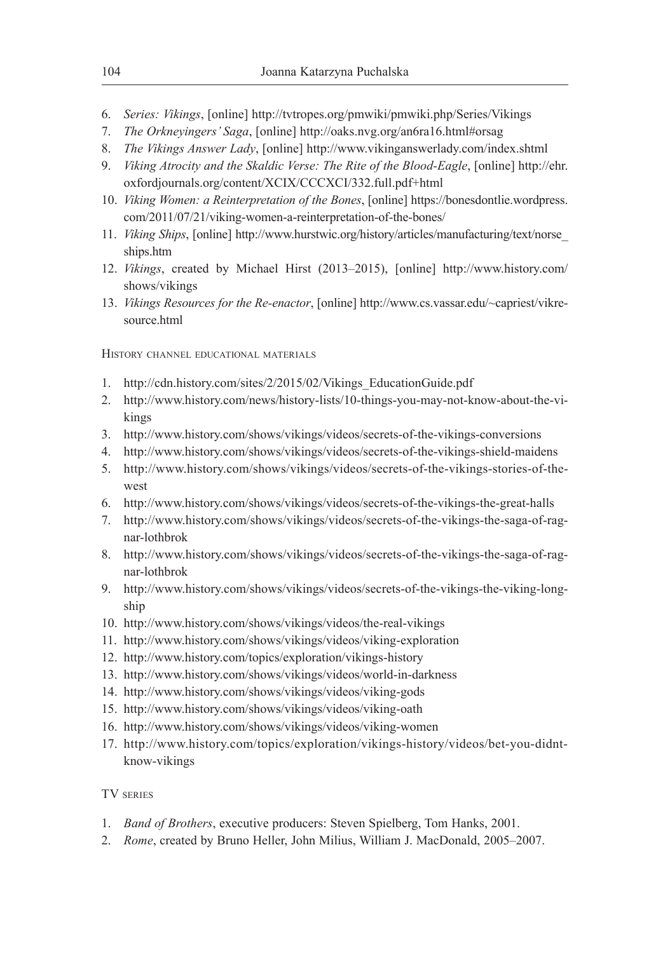- 6. *Series: Vikings*, [online] http://tvtropes.org/pmwiki/pmwiki.php/Series/Vikings
- 7. *The Orkneyingers' Saga*, [online] http://oaks.nvg.org/an6ra16.html#orsag
- 8. *The Vikings Answer Lady*, [online] http://www.vikinganswerlady.com/index.shtml
- 9. *Viking Atrocity and the Skaldic Verse: The Rite of the Blood-Eagle*, [online] http://ehr. oxfordjournals.org/content/XCIX/CCCXCI/332.full.pdf+html
- 10. *Viking Women: a Reinterpretation of the Bones*, [online] https://bonesdontlie.wordpress. com/2011/07/21/viking-women-a-reinterpretation-of-the-bones/
- 11. *Viking Ships*, [online] http://www.hurstwic.org/history/articles/manufacturing/text/norse\_ ships.htm
- 12. *Vikings*, created by Michael Hirst (2013–2015), [online] http://www.history.com/ shows/vikings
- 13. *Vikings Resources for the Re-enactor*, [online] http://www.cs.vassar.edu/~capriest/vikresource.html

History channel educational materials

- 1. http://cdn.history.com/sites/2/2015/02/Vikings\_EducationGuide.pdf
- 2. http://www.history.com/news/history-lists/10-things-you-may-not-know-about-the-vikings
- 3. http://www.history.com/shows/vikings/videos/secrets-of-the-vikings-conversions
- 4. http://www.history.com/shows/vikings/videos/secrets-of-the-vikings-shield-maidens
- 5. http://www.history.com/shows/vikings/videos/secrets-of-the-vikings-stories-of-thewest
- 6. http://www.history.com/shows/vikings/videos/secrets-of-the-vikings-the-great-halls
- 7. http://www.history.com/shows/vikings/videos/secrets-of-the-vikings-the-saga-of-ragnar-lothbrok
- 8. http://www.history.com/shows/vikings/videos/secrets-of-the-vikings-the-saga-of-ragnar-lothbrok
- 9. http://www.history.com/shows/vikings/videos/secrets-of-the-vikings-the-viking-longship
- 10. http://www.history.com/shows/vikings/videos/the-real-vikings
- 11. http://www.history.com/shows/vikings/videos/viking-exploration
- 12. http://www.history.com/topics/exploration/vikings-history
- 13. http://www.history.com/shows/vikings/videos/world-in-darkness
- 14. http://www.history.com/shows/vikings/videos/viking-gods
- 15. http://www.history.com/shows/vikings/videos/viking-oath
- 16. http://www.history.com/shows/vikings/videos/viking-women
- 17. http://www.history.com/topics/exploration/vikings-history/videos/bet-you-didntknow-vikings

### TV series

- 1. *Band of Brothers*, executive producers: Steven Spielberg, Tom Hanks, 2001.
- 2. *Rome*, created by Bruno Heller, John Milius, William J. MacDonald, 2005–2007.